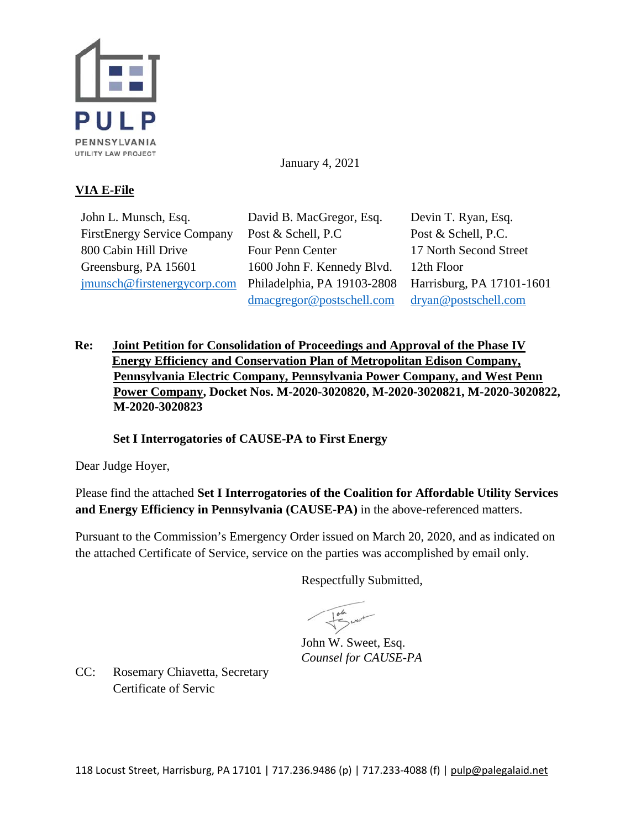

January 4, 2021

## **VIA E-File**

John L. Munsch, Esq. FirstEnergy Service Company 800 Cabin Hill Drive Greensburg, PA 15601 [jmunsch@firstenergycorp.com](mailto:jmunsch@firstenergycorp.com)

David B. MacGregor, Esq. Post & Schell, P.C Four Penn Center 1600 John F. Kennedy Blvd. Philadelphia, PA 19103-2808 [dmacgregor@postschell.com](mailto:dmacgregor@postschell.com)

Devin T. Ryan, Esq. Post & Schell, P.C. 17 North Second Street 12th Floor Harrisburg, PA 17101-1601 [dryan@postschell.com](mailto:dryan@postschell.com)

**Re: Joint Petition for Consolidation of Proceedings and Approval of the Phase IV Energy Efficiency and Conservation Plan of Metropolitan Edison Company, Pennsylvania Electric Company, Pennsylvania Power Company, and West Penn Power Company, Docket Nos. M-2020-3020820, M-2020-3020821, M-2020-3020822, M-2020-3020823** 

**Set I Interrogatories of CAUSE-PA to First Energy**

Dear Judge Hoyer,

Please find the attached **Set I Interrogatories of the Coalition for Affordable Utility Services and Energy Efficiency in Pennsylvania (CAUSE-PA)** in the above-referenced matters.

Pursuant to the Commission's Emergency Order issued on March 20, 2020, and as indicated on the attached Certificate of Service, service on the parties was accomplished by email only.

Respectfully Submitted,

John W. Sweet, Esq. *Counsel for CAUSE-PA* 

CC: Rosemary Chiavetta, Secretary Certificate of Servic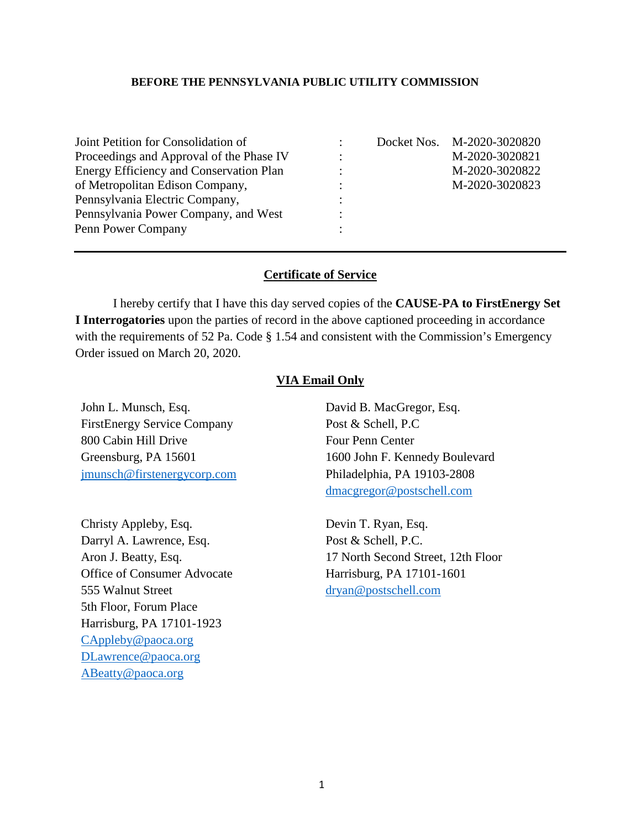## **BEFORE THE PENNSYLVANIA PUBLIC UTILITY COMMISSION**

| Joint Petition for Consolidation of<br>Proceedings and Approval of the Phase IV<br><b>Energy Efficiency and Conservation Plan</b><br>of Metropolitan Edison Company,<br>Pennsylvania Electric Company, | ٠<br>$\bullet$ | Docket Nos. M-2020-3020820<br>M-2020-3020821<br>M-2020-3020822<br>M-2020-3020823 |
|--------------------------------------------------------------------------------------------------------------------------------------------------------------------------------------------------------|----------------|----------------------------------------------------------------------------------|
| Pennsylvania Power Company, and West                                                                                                                                                                   |                |                                                                                  |
| Penn Power Company                                                                                                                                                                                     |                |                                                                                  |

## **Certificate of Service**

I hereby certify that I have this day served copies of the **CAUSE-PA to FirstEnergy Set I Interrogatories** upon the parties of record in the above captioned proceeding in accordance with the requirements of 52 Pa. Code § 1.54 and consistent with the Commission's Emergency Order issued on March 20, 2020.

## **VIA Email Only**

John L. Munsch, Esq. FirstEnergy Service Company 800 Cabin Hill Drive Greensburg, PA 15601 [jmunsch@firstenergycorp.com](mailto:jmunsch@firstenergycorp.com)

Christy Appleby, Esq. Darryl A. Lawrence, Esq. Aron J. Beatty, Esq. Office of Consumer Advocate 555 Walnut Street 5th Floor, Forum Place Harrisburg, PA 17101-1923 [CAppleby@paoca.org](mailto:CAppleby@paoca.org) [DLawrence@paoca.org](mailto:DLawrence@paoca.org) [ABeatty@paoca.org](mailto:ABeatty@paoca.org)

David B. MacGregor, Esq. Post & Schell, P.C Four Penn Center 1600 John F. Kennedy Boulevard Philadelphia, PA 19103-2808 [dmacgregor@postschell.com](mailto:dmacgregor@postschell.com)

Devin T. Ryan, Esq. Post & Schell, P.C. 17 North Second Street, 12th Floor Harrisburg, PA 17101-1601 [dryan@postschell.com](mailto:dryan@postschell.com)